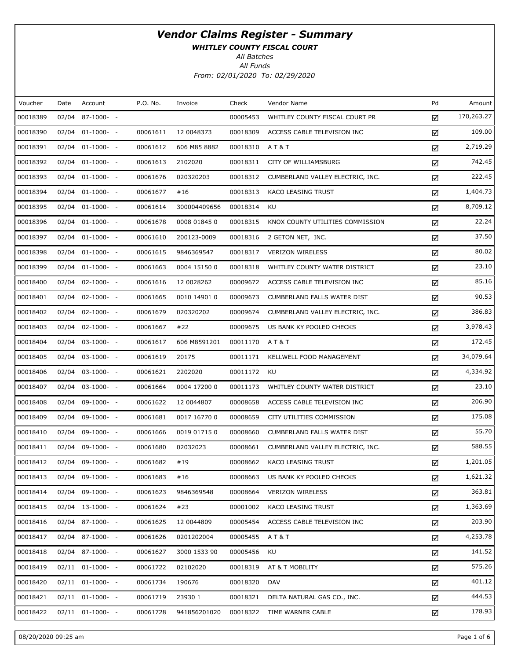WHITLEY COUNTY FISCAL COURT

All Batches

| Voucher  | Date  | Account               | P.O. No. | Invoice      | Check    | Vendor Name                      | Pd | Amount     |
|----------|-------|-----------------------|----------|--------------|----------|----------------------------------|----|------------|
| 00018389 | 02/04 | $87-1000- -$          |          |              | 00005453 | WHITLEY COUNTY FISCAL COURT PR   | ☑  | 170,263.27 |
| 00018390 |       | $02/04$ $01-1000-$ -  | 00061611 | 12 0048373   | 00018309 | ACCESS CABLE TELEVISION INC      | ☑  | 109.00     |
| 00018391 | 02/04 | $01-1000- -$          | 00061612 | 606 M85 8882 | 00018310 | A T & T                          | ☑  | 2,719.29   |
| 00018392 | 02/04 | $01-1000-$            | 00061613 | 2102020      | 00018311 | CITY OF WILLIAMSBURG             | ☑  | 742.45     |
| 00018393 | 02/04 | $01-1000-$            | 00061676 | 020320203    | 00018312 | CUMBERLAND VALLEY ELECTRIC, INC. | ☑  | 222.45     |
| 00018394 | 02/04 | $01-1000-$            | 00061677 | #16          | 00018313 | KACO LEASING TRUST               | ☑  | 1,404.73   |
| 00018395 | 02/04 | $01-1000-$            | 00061614 | 300004409656 | 00018314 | KU                               | ☑  | 8,709.12   |
| 00018396 |       | $02/04$ $01-1000-$ -  | 00061678 | 0008 01845 0 | 00018315 | KNOX COUNTY UTILITIES COMMISSION | ☑  | 22.24      |
| 00018397 | 02/04 | $01-1000-$            | 00061610 | 200123-0009  | 00018316 | 2 GETON NET, INC.                | ☑  | 37.50      |
| 00018398 | 02/04 | $01-1000-$            | 00061615 | 9846369547   | 00018317 | <b>VERIZON WIRELESS</b>          | ☑  | 80.02      |
| 00018399 | 02/04 | $01-1000-$            | 00061663 | 0004 15150 0 | 00018318 | WHITLEY COUNTY WATER DISTRICT    | ☑  | 23.10      |
| 00018400 |       | $02/04$ $02-1000$ - - | 00061616 | 12 0028262   | 00009672 | ACCESS CABLE TELEVISION INC      | ☑  | 85.16      |
| 00018401 | 02/04 | $02-1000- -$          | 00061665 | 0010 14901 0 | 00009673 | CUMBERLAND FALLS WATER DIST      | ☑  | 90.53      |
| 00018402 |       | $02/04$ $02-1000$ - - | 00061679 | 020320202    | 00009674 | CUMBERLAND VALLEY ELECTRIC, INC. | ☑  | 386.83     |
| 00018403 | 02/04 | $02 - 1000 - -$       | 00061667 | #22          | 00009675 | US BANK KY POOLED CHECKS         | ☑  | 3,978.43   |
| 00018404 |       | $02/04$ $03-1000$ - - | 00061617 | 606 M8591201 | 00011170 | A T & T                          | ☑  | 172.45     |
| 00018405 | 02/04 | $03-1000- -$          | 00061619 | 20175        | 00011171 | KELLWELL FOOD MANAGEMENT         | ☑  | 34,079.64  |
| 00018406 | 02/04 | $03-1000- -$          | 00061621 | 2202020      | 00011172 | KU                               | ☑  | 4,334.92   |
| 00018407 | 02/04 | $03-1000- -$          | 00061664 | 0004 17200 0 | 00011173 | WHITLEY COUNTY WATER DISTRICT    | ☑  | 23.10      |
| 00018408 | 02/04 | 09-1000- -            | 00061622 | 12 0044807   | 00008658 | ACCESS CABLE TELEVISION INC      | ☑  | 206.90     |
| 00018409 | 02/04 | $09-1000- -$          | 00061681 | 0017 16770 0 | 00008659 | CITY UTILITIES COMMISSION        | ☑  | 175.08     |
| 00018410 | 02/04 | $09-1000- -$          | 00061666 | 0019 01715 0 | 00008660 | CUMBERLAND FALLS WATER DIST      | ☑  | 55.70      |
| 00018411 | 02/04 | 09-1000- -            | 00061680 | 02032023     | 00008661 | CUMBERLAND VALLEY ELECTRIC, INC. | ☑  | 588.55     |
| 00018412 |       | 02/04 09-1000- -      | 00061682 | #19          | 00008662 | KACO LEASING TRUST               | ☑  | 1,201.05   |
| 00018413 |       | 02/04 09-1000- -      | 00061683 | #16          | 00008663 | US BANK KY POOLED CHECKS         | ☑  | 1,621.32   |
| 00018414 | 02/04 | 09-1000- -            | 00061623 | 9846369548   | 00008664 | <b>VERIZON WIRELESS</b>          | ☑  | 363.81     |
| 00018415 |       | $02/04$ 13-1000- -    | 00061624 | #23          | 00001002 | KACO LEASING TRUST               | ☑  | 1,363.69   |
| 00018416 |       | $02/04$ 87-1000- -    | 00061625 | 12 0044809   | 00005454 | ACCESS CABLE TELEVISION INC      | ☑  | 203.90     |
| 00018417 |       | $02/04$ 87-1000- -    | 00061626 | 0201202004   | 00005455 | A T & T                          | ☑  | 4,253.78   |
| 00018418 |       | $02/04$ 87-1000- -    | 00061627 | 3000 1533 90 | 00005456 | KU                               | ☑  | 141.52     |
| 00018419 |       | $02/11$ $01-1000-$ -  | 00061722 | 02102020     | 00018319 | AT & T MOBILITY                  | ☑  | 575.26     |
| 00018420 |       | $02/11$ $01-1000-$ -  | 00061734 | 190676       | 00018320 | DAV                              | ☑  | 401.12     |
| 00018421 |       | $02/11$ $01-1000-$ -  | 00061719 | 23930 1      | 00018321 | DELTA NATURAL GAS CO., INC.      | ☑  | 444.53     |
| 00018422 |       | $02/11$ $01-1000-$ -  | 00061728 | 941856201020 | 00018322 | TIME WARNER CABLE                | ☑  | 178.93     |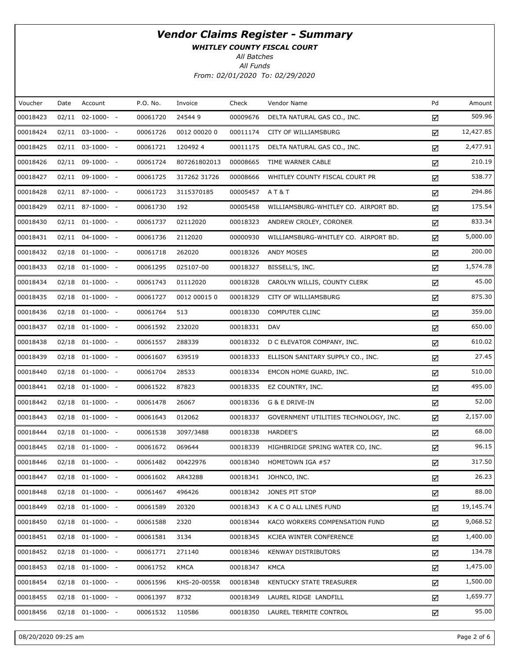WHITLEY COUNTY FISCAL COURT

All Batches

| Voucher  | Date | Account               | P.O. No. | Invoice      | Check    | Vendor Name                           | Pd | Amount    |
|----------|------|-----------------------|----------|--------------|----------|---------------------------------------|----|-----------|
| 00018423 |      | $02/11$ $02-1000-$ -  | 00061720 | 245449       | 00009676 | DELTA NATURAL GAS CO., INC.           | ☑  | 509.96    |
| 00018424 |      | $02/11$ $03-1000$ - - | 00061726 | 0012 00020 0 | 00011174 | CITY OF WILLIAMSBURG                  | ☑  | 12,427.85 |
| 00018425 |      | $02/11$ $03-1000$ - - | 00061721 | 1204924      | 00011175 | DELTA NATURAL GAS CO., INC.           | ☑  | 2,477.91  |
| 00018426 |      | $02/11$ 09-1000- -    | 00061724 | 807261802013 | 00008665 | TIME WARNER CABLE                     | ☑  | 210.19    |
| 00018427 |      | $02/11$ 09-1000- -    | 00061725 | 317262 31726 | 00008666 | WHITLEY COUNTY FISCAL COURT PR        | ☑  | 538.77    |
| 00018428 |      | $02/11$ 87-1000- -    | 00061723 | 3115370185   | 00005457 | <b>AT&amp;T</b>                       | ☑  | 294.86    |
| 00018429 |      | $02/11$ 87-1000- -    | 00061730 | 192          | 00005458 | WILLIAMSBURG-WHITLEY CO. AIRPORT BD.  | ☑  | 175.54    |
| 00018430 |      | $02/11$ $01-1000$ - - | 00061737 | 02112020     | 00018323 | ANDREW CROLEY, CORONER                | ☑  | 833.34    |
| 00018431 |      | $02/11$ $04-1000-$ -  | 00061736 | 2112020      | 00000930 | WILLIAMSBURG-WHITLEY CO. AIRPORT BD.  | ☑  | 5,000.00  |
| 00018432 |      | $02/18$ $01-1000$ - - | 00061718 | 262020       | 00018326 | ANDY MOSES                            | ☑  | 200.00    |
| 00018433 |      | $02/18$ $01-1000$ - - | 00061295 | 025107-00    | 00018327 | BISSELL'S, INC.                       | ☑  | 1,574.78  |
| 00018434 |      | $02/18$ $01-1000$ - - | 00061743 | 01112020     | 00018328 | CAROLYN WILLIS, COUNTY CLERK          | ☑  | 45.00     |
| 00018435 |      | $02/18$ $01-1000$ - - | 00061727 | 0012 00015 0 | 00018329 | CITY OF WILLIAMSBURG                  | ☑  | 875.30    |
| 00018436 |      | $02/18$ $01-1000$ - - | 00061764 | 513          | 00018330 | <b>COMPUTER CLINC</b>                 | ☑  | 359.00    |
| 00018437 |      | $02/18$ $01-1000$ - - | 00061592 | 232020       | 00018331 | <b>DAV</b>                            | ☑  | 650.00    |
| 00018438 |      | $02/18$ $01-1000$ - - | 00061557 | 288339       | 00018332 | D C ELEVATOR COMPANY, INC.            | ☑  | 610.02    |
| 00018439 |      | $02/18$ $01-1000$ - - | 00061607 | 639519       | 00018333 | ELLISON SANITARY SUPPLY CO., INC.     | ☑  | 27.45     |
| 00018440 |      | $02/18$ $01-1000$ - - | 00061704 | 28533        | 00018334 | EMCON HOME GUARD, INC.                | ☑  | 510.00    |
| 00018441 |      | $02/18$ $01-1000$ - - | 00061522 | 87823        | 00018335 | EZ COUNTRY, INC.                      | ☑  | 495.00    |
| 00018442 |      | $02/18$ $01-1000-$ -  | 00061478 | 26067        | 00018336 | G & E DRIVE-IN                        | ☑  | 52.00     |
| 00018443 |      | $02/18$ $01-1000$ - - | 00061643 | 012062       | 00018337 | GOVERNMENT UTILITIES TECHNOLOGY, INC. | ☑  | 2,157.00  |
| 00018444 |      | $02/18$ $01-1000$ - - | 00061538 | 3097/3488    | 00018338 | HARDEE'S                              | ☑  | 68.00     |
| 00018445 |      | $02/18$ $01-1000$ - - | 00061672 | 069644       | 00018339 | HIGHBRIDGE SPRING WATER CO, INC.      | ☑  | 96.15     |
| 00018446 |      | $02/18$ $01-1000-$ -  | 00061482 | 00422976     | 00018340 | HOMETOWN IGA #57                      | ☑  | 317.50    |
| 00018447 |      | 02/18 01-1000- -      | 00061602 | AR43288      | 00018341 | JOHNCO, INC.                          | ☑  | 26.23     |
| 00018448 |      | $02/18$ $01-1000$ - - | 00061467 | 496426       | 00018342 | JONES PIT STOP                        | ☑  | 88.00     |
| 00018449 |      | $02/18$ $01-1000-$ -  | 00061589 | 20320        | 00018343 | K A C O ALL LINES FUND                | ☑  | 19,145.74 |
| 00018450 |      | $02/18$ $01-1000-$ -  | 00061588 | 2320         | 00018344 | KACO WORKERS COMPENSATION FUND        | ☑  | 9,068.52  |
| 00018451 |      | $02/18$ $01-1000-$ -  | 00061581 | 3134         | 00018345 | KCJEA WINTER CONFERENCE               | ☑  | 1,400.00  |
| 00018452 |      | $02/18$ $01-1000-$ -  | 00061771 | 271140       | 00018346 | <b>KENWAY DISTRIBUTORS</b>            | ☑  | 134.78    |
| 00018453 |      | $02/18$ $01-1000-$ -  | 00061752 | <b>KMCA</b>  | 00018347 | KMCA                                  | ☑  | 1,475.00  |
| 00018454 |      | $02/18$ $01-1000-$ -  | 00061596 | KHS-20-0055R | 00018348 | KENTUCKY STATE TREASURER              | ☑  | 1,500.00  |
| 00018455 |      | $02/18$ $01-1000-$ -  | 00061397 | 8732         | 00018349 | LAUREL RIDGE LANDFILL                 | ☑  | 1,659.77  |
| 00018456 |      | $02/18$ $01-1000-$ -  | 00061532 | 110586       | 00018350 | LAUREL TERMITE CONTROL                | ☑  | 95.00     |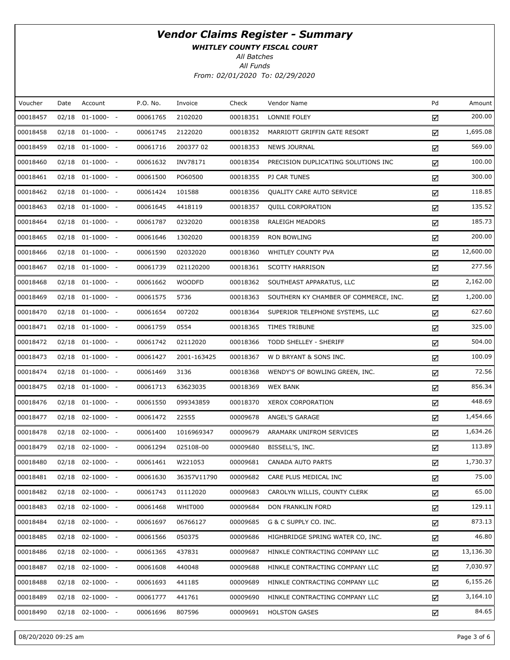WHITLEY COUNTY FISCAL COURT

All Batches

| Voucher  | Date  | Account               | P.O. No. | Invoice       | Check    | Vendor Name                           | Pd | Amount    |
|----------|-------|-----------------------|----------|---------------|----------|---------------------------------------|----|-----------|
| 00018457 | 02/18 | $01-1000-$            | 00061765 | 2102020       | 00018351 | LONNIE FOLEY                          | ☑  | 200.00    |
| 00018458 |       | 02/18 01-1000- -      | 00061745 | 2122020       | 00018352 | MARRIOTT GRIFFIN GATE RESORT          | ☑  | 1,695.08  |
| 00018459 |       | $02/18$ $01-1000-$ -  | 00061716 | 200377 02     | 00018353 | <b>NEWS JOURNAL</b>                   | ☑  | 569.00    |
| 00018460 |       | 02/18 01-1000- -      | 00061632 | INV78171      | 00018354 | PRECISION DUPLICATING SOLUTIONS INC   | ☑  | 100.00    |
| 00018461 |       | $02/18$ $01-1000$ - - | 00061500 | PO60500       | 00018355 | PJ CAR TUNES                          | ☑  | 300.00    |
| 00018462 |       | 02/18 01-1000- -      | 00061424 | 101588        | 00018356 | <b>QUALITY CARE AUTO SERVICE</b>      | ☑  | 118.85    |
| 00018463 |       | $02/18$ $01-1000-$ -  | 00061645 | 4418119       | 00018357 | <b>QUILL CORPORATION</b>              | ☑  | 135.52    |
| 00018464 |       | 02/18 01-1000- -      | 00061787 | 0232020       | 00018358 | RALEIGH MEADORS                       | ☑  | 185.73    |
| 00018465 |       | 02/18 01-1000- -      | 00061646 | 1302020       | 00018359 | <b>RON BOWLING</b>                    | ☑  | 200.00    |
| 00018466 |       | 02/18 01-1000- -      | 00061590 | 02032020      | 00018360 | WHITLEY COUNTY PVA                    | ☑  | 12,600.00 |
| 00018467 |       | 02/18 01-1000- -      | 00061739 | 021120200     | 00018361 | <b>SCOTTY HARRISON</b>                | ☑  | 277.56    |
| 00018468 |       | 02/18 01-1000- -      | 00061662 | <b>WOODFD</b> | 00018362 | SOUTHEAST APPARATUS, LLC              | ☑  | 2,162.00  |
| 00018469 |       | 02/18 01-1000- -      | 00061575 | 5736          | 00018363 | SOUTHERN KY CHAMBER OF COMMERCE, INC. | ☑  | 1,200.00  |
| 00018470 |       | 02/18 01-1000- -      | 00061654 | 007202        | 00018364 | SUPERIOR TELEPHONE SYSTEMS, LLC       | ☑  | 627.60    |
| 00018471 |       | 02/18 01-1000- -      | 00061759 | 0554          | 00018365 | TIMES TRIBUNE                         | ☑  | 325.00    |
| 00018472 |       | 02/18 01-1000- -      | 00061742 | 02112020      | 00018366 | TODD SHELLEY - SHERIFF                | ☑  | 504.00    |
| 00018473 |       | 02/18 01-1000- -      | 00061427 | 2001-163425   | 00018367 | W D BRYANT & SONS INC.                | ☑  | 100.09    |
| 00018474 |       | 02/18 01-1000- -      | 00061469 | 3136          | 00018368 | WENDY'S OF BOWLING GREEN, INC.        | ☑  | 72.56     |
| 00018475 |       | 02/18 01-1000- -      | 00061713 | 63623035      | 00018369 | <b>WEX BANK</b>                       | ☑  | 856.34    |
| 00018476 |       | 02/18 01-1000- -      | 00061550 | 099343859     | 00018370 | <b>XEROX CORPORATION</b>              | ☑  | 448.69    |
| 00018477 |       | 02/18 02-1000- -      | 00061472 | 22555         | 00009678 | ANGEL'S GARAGE                        | ☑  | 1,454.66  |
| 00018478 |       | 02/18 02-1000- -      | 00061400 | 1016969347    | 00009679 | ARAMARK UNIFROM SERVICES              | ☑  | 1,634.26  |
| 00018479 |       | 02/18 02-1000- -      | 00061294 | 025108-00     | 00009680 | BISSELL'S, INC.                       | ☑  | 113.89    |
| 00018480 |       | 02/18 02-1000- -      | 00061461 | W221053       | 00009681 | CANADA AUTO PARTS                     | ☑  | 1,730.37  |
| 00018481 |       | 02/18 02-1000- -      | 00061630 | 36357V11790   | 00009682 | CARE PLUS MEDICAL INC                 | ☑  | 75.00     |
| 00018482 |       | 02/18 02-1000- -      | 00061743 | 01112020      | 00009683 | CAROLYN WILLIS, COUNTY CLERK          | ☑  | 65.00     |
| 00018483 |       | $02/18$ $02-1000-$ -  | 00061468 | WHIT000       | 00009684 | DON FRANKLIN FORD                     | ☑  | 129.11    |
| 00018484 |       | $02/18$ $02-1000-$ -  | 00061697 | 06766127      | 00009685 | G & C SUPPLY CO. INC.                 | ☑  | 873.13    |
| 00018485 |       | $02/18$ $02-1000-$ -  | 00061566 | 050375        | 00009686 | HIGHBRIDGE SPRING WATER CO, INC.      | ☑  | 46.80     |
| 00018486 |       | $02/18$ $02-1000-$ -  | 00061365 | 437831        | 00009687 | HINKLE CONTRACTING COMPANY LLC        | ☑  | 13,136.30 |
| 00018487 |       | $02/18$ $02-1000-$ -  | 00061608 | 440048        | 00009688 | HINKLE CONTRACTING COMPANY LLC        | ☑  | 7,030.97  |
| 00018488 |       | 02/18 02-1000- -      | 00061693 | 441185        | 00009689 | HINKLE CONTRACTING COMPANY LLC        | ☑  | 6,155.26  |
| 00018489 |       | 02/18 02-1000- -      | 00061777 | 441761        | 00009690 | HINKLE CONTRACTING COMPANY LLC        | ☑  | 3,164.10  |
| 00018490 |       | 02/18 02-1000- -      | 00061696 | 807596        | 00009691 | <b>HOLSTON GASES</b>                  | ☑  | 84.65     |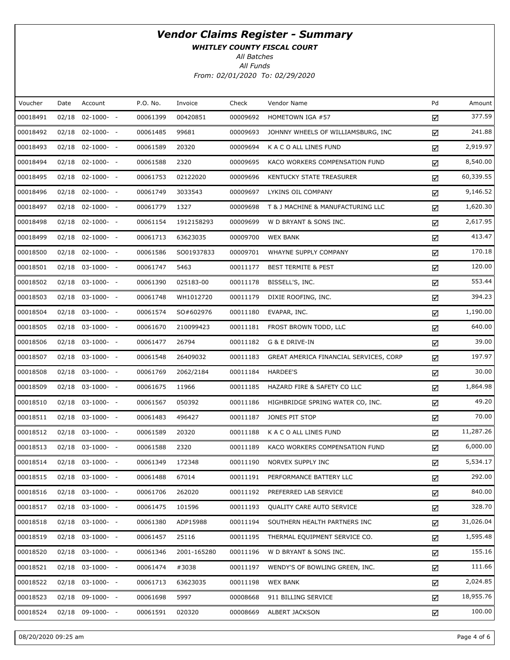WHITLEY COUNTY FISCAL COURT

All Batches

| Voucher  | Date  | Account               | P.O. No. | Invoice     | Check    | Vendor Name                            | Pd | Amount    |
|----------|-------|-----------------------|----------|-------------|----------|----------------------------------------|----|-----------|
| 00018491 | 02/18 | $02 - 1000 - -$       | 00061399 | 00420851    | 00009692 | HOMETOWN IGA #57                       | ☑  | 377.59    |
| 00018492 |       | 02/18 02-1000- -      | 00061485 | 99681       | 00009693 | JOHNNY WHEELS OF WILLIAMSBURG, INC     | ☑  | 241.88    |
| 00018493 | 02/18 | $02 - 1000 - -$       | 00061589 | 20320       | 00009694 | K A C O ALL LINES FUND                 | ☑  | 2,919.97  |
| 00018494 |       | 02/18 02-1000- -      | 00061588 | 2320        | 00009695 | KACO WORKERS COMPENSATION FUND         | ☑  | 8,540.00  |
| 00018495 |       | $02/18$ $02-1000-$ -  | 00061753 | 02122020    | 00009696 | KENTUCKY STATE TREASURER               | ☑  | 60,339.55 |
| 00018496 |       | $02/18$ $02-1000-$ -  | 00061749 | 3033543     | 00009697 | LYKINS OIL COMPANY                     | ☑  | 9,146.52  |
| 00018497 |       | 02/18 02-1000- -      | 00061779 | 1327        | 00009698 | T & J MACHINE & MANUFACTURING LLC      | ☑  | 1,620.30  |
| 00018498 |       | 02/18 02-1000- -      | 00061154 | 1912158293  | 00009699 | W D BRYANT & SONS INC.                 | ☑  | 2,617.95  |
| 00018499 |       | 02/18 02-1000- -      | 00061713 | 63623035    | 00009700 | <b>WEX BANK</b>                        | ☑  | 413.47    |
| 00018500 |       | $02/18$ $02-1000-$ -  | 00061586 | SO01937833  | 00009701 | WHAYNE SUPPLY COMPANY                  | ☑  | 170.18    |
| 00018501 |       | $02/18$ $03-1000-$ -  | 00061747 | 5463        | 00011177 | <b>BEST TERMITE &amp; PEST</b>         | ☑  | 120.00    |
| 00018502 |       | 02/18 03-1000- -      | 00061390 | 025183-00   | 00011178 | BISSELL'S, INC.                        | ☑  | 553.44    |
| 00018503 |       | $02/18$ $03-1000-$ -  | 00061748 | WH1012720   | 00011179 | DIXIE ROOFING, INC.                    | ☑  | 394.23    |
| 00018504 |       | 02/18 03-1000- -      | 00061574 | SO#602976   | 00011180 | EVAPAR, INC.                           | ☑  | 1,190.00  |
| 00018505 |       | 02/18 03-1000- -      | 00061670 | 210099423   | 00011181 | FROST BROWN TODD, LLC                  | ☑  | 640.00    |
| 00018506 |       | 02/18 03-1000- -      | 00061477 | 26794       | 00011182 | G & E DRIVE-IN                         | ☑  | 39.00     |
| 00018507 |       | 02/18 03-1000- -      | 00061548 | 26409032    | 00011183 | GREAT AMERICA FINANCIAL SERVICES, CORP | ☑  | 197.97    |
| 00018508 |       | 02/18 03-1000- -      | 00061769 | 2062/2184   | 00011184 | HARDEE'S                               | ☑  | 30.00     |
| 00018509 |       | 02/18 03-1000- -      | 00061675 | 11966       | 00011185 | HAZARD FIRE & SAFETY CO LLC            | ☑  | 1,864.98  |
| 00018510 |       | $02/18$ 03-1000- -    | 00061567 | 050392      | 00011186 | HIGHBRIDGE SPRING WATER CO, INC.       | ☑  | 49.20     |
| 00018511 |       | 02/18 03-1000- -      | 00061483 | 496427      | 00011187 | JONES PIT STOP                         | ☑  | 70.00     |
| 00018512 |       | 02/18 03-1000- -      | 00061589 | 20320       | 00011188 | K A C O ALL LINES FUND                 | ☑  | 11,287.26 |
| 00018513 |       | $02/18$ 03-1000- -    | 00061588 | 2320        | 00011189 | KACO WORKERS COMPENSATION FUND         | ☑  | 6,000.00  |
| 00018514 |       | $02/18$ $03-1000$ - - | 00061349 | 172348      | 00011190 | NORVEX SUPPLY INC                      | ☑  | 5,534.17  |
| 00018515 |       | $02/18$ 03-1000- -    | 00061488 | 67014       | 00011191 | PERFORMANCE BATTERY LLC                | ☑  | 292.00    |
| 00018516 | 02/18 | $03-1000- -$          | 00061706 | 262020      | 00011192 | PREFERRED LAB SERVICE                  | ☑  | 840.00    |
| 00018517 |       | $02/18$ $03-1000-$ -  | 00061475 | 101596      | 00011193 | <b>QUALITY CARE AUTO SERVICE</b>       | ☑  | 328.70    |
| 00018518 | 02/18 | $03-1000- -$          | 00061380 | ADP15988    | 00011194 | SOUTHERN HEALTH PARTNERS INC           | ☑  | 31,026.04 |
| 00018519 |       | $02/18$ $03-1000-$ -  | 00061457 | 25116       | 00011195 | THERMAL EQUIPMENT SERVICE CO.          | ☑  | 1,595.48  |
| 00018520 | 02/18 | $03-1000- -$          | 00061346 | 2001-165280 | 00011196 | W D BRYANT & SONS INC.                 | ☑  | 155.16    |
| 00018521 |       | $02/18$ 03-1000- -    | 00061474 | #3038       | 00011197 | WENDY'S OF BOWLING GREEN, INC.         | ☑  | 111.66    |
| 00018522 | 02/18 | $03-1000- -$          | 00061713 | 63623035    | 00011198 | <b>WEX BANK</b>                        | ☑  | 2,024.85  |
| 00018523 | 02/18 | 09-1000- -            | 00061698 | 5997        | 00008668 | 911 BILLING SERVICE                    | ☑  | 18,955.76 |
| 00018524 | 02/18 | 09-1000- -            | 00061591 | 020320      | 00008669 | ALBERT JACKSON                         | ☑  | 100.00    |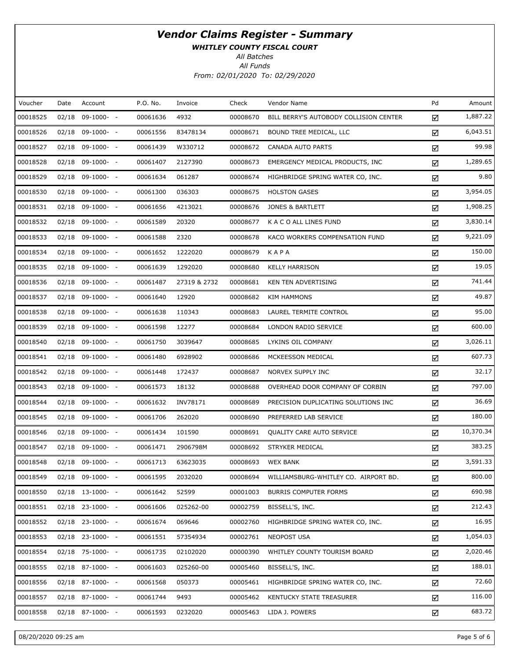WHITLEY COUNTY FISCAL COURT

All Batches

| Voucher  | Date | Account            | P.O. No. | Invoice      | Check    | Vendor Name                            | Pd | Amount    |
|----------|------|--------------------|----------|--------------|----------|----------------------------------------|----|-----------|
| 00018525 |      | $02/18$ 09-1000- - | 00061636 | 4932         | 00008670 | BILL BERRY'S AUTOBODY COLLISION CENTER | ☑  | 1,887.22  |
| 00018526 |      | $02/18$ 09-1000- - | 00061556 | 83478134     | 00008671 | BOUND TREE MEDICAL, LLC                | ☑  | 6,043.51  |
| 00018527 |      | $02/18$ 09-1000- - | 00061439 | W330712      | 00008672 | CANADA AUTO PARTS                      | ☑  | 99.98     |
| 00018528 |      | $02/18$ 09-1000- - | 00061407 | 2127390      | 00008673 | EMERGENCY MEDICAL PRODUCTS, INC        | ☑  | 1,289.65  |
| 00018529 |      | $02/18$ 09-1000- - | 00061634 | 061287       | 00008674 | HIGHBRIDGE SPRING WATER CO, INC.       | ☑  | 9.80      |
| 00018530 |      | $02/18$ 09-1000- - | 00061300 | 036303       | 00008675 | <b>HOLSTON GASES</b>                   | ☑  | 3,954.05  |
| 00018531 |      | $02/18$ 09-1000- - | 00061656 | 4213021      | 00008676 | <b>JONES &amp; BARTLETT</b>            | ☑  | 1,908.25  |
| 00018532 |      | $02/18$ 09-1000- - | 00061589 | 20320        | 00008677 | K A C O ALL LINES FUND                 | ☑  | 3,830.14  |
| 00018533 |      | $02/18$ 09-1000- - | 00061588 | 2320         | 00008678 | KACO WORKERS COMPENSATION FUND         | ☑  | 9,221.09  |
| 00018534 |      | $02/18$ 09-1000- - | 00061652 | 1222020      | 00008679 | KAPA                                   | ☑  | 150.00    |
| 00018535 |      | $02/18$ 09-1000- - | 00061639 | 1292020      | 00008680 | <b>KELLY HARRISON</b>                  | ☑  | 19.05     |
| 00018536 |      | $02/18$ 09-1000- - | 00061487 | 27319 & 2732 | 00008681 | KEN TEN ADVERTISING                    | ☑  | 741.44    |
| 00018537 |      | $02/18$ 09-1000- - | 00061640 | 12920        | 00008682 | <b>KIM HAMMONS</b>                     | ☑  | 49.87     |
| 00018538 |      | $02/18$ 09-1000- - | 00061638 | 110343       | 00008683 | LAUREL TERMITE CONTROL                 | ☑  | 95.00     |
| 00018539 |      | $02/18$ 09-1000- - | 00061598 | 12277        | 00008684 | LONDON RADIO SERVICE                   | ☑  | 600.00    |
| 00018540 |      | $02/18$ 09-1000- - | 00061750 | 3039647      | 00008685 | LYKINS OIL COMPANY                     | ☑  | 3,026.11  |
| 00018541 |      | $02/18$ 09-1000- - | 00061480 | 6928902      | 00008686 | MCKEESSON MEDICAL                      | ☑  | 607.73    |
| 00018542 |      | $02/18$ 09-1000- - | 00061448 | 172437       | 00008687 | NORVEX SUPPLY INC                      | ☑  | 32.17     |
| 00018543 |      | $02/18$ 09-1000- - | 00061573 | 18132        | 00008688 | OVERHEAD DOOR COMPANY OF CORBIN        | ☑  | 797.00    |
| 00018544 |      | $02/18$ 09-1000- - | 00061632 | INV78171     | 00008689 | PRECISION DUPLICATING SOLUTIONS INC    | ☑  | 36.69     |
| 00018545 |      | $02/18$ 09-1000- - | 00061706 | 262020       | 00008690 | PREFERRED LAB SERVICE                  | ☑  | 180.00    |
| 00018546 |      | $02/18$ 09-1000- - | 00061434 | 101590       | 00008691 | QUALITY CARE AUTO SERVICE              | ☑  | 10,370.34 |
| 00018547 |      | $02/18$ 09-1000- - | 00061471 | 2906798M     | 00008692 | STRYKER MEDICAL                        | ☑  | 383.25    |
| 00018548 |      | 02/18 09-1000- -   | 00061713 | 63623035     | 00008693 | <b>WEX BANK</b>                        | ☑  | 3,591.33  |
| 00018549 |      | 02/18 09-1000- -   | 00061595 | 2032020      | 00008694 | WILLIAMSBURG-WHITLEY CO. AIRPORT BD.   | ☑  | 800.00    |
| 00018550 |      | $02/18$ 13-1000- - | 00061642 | 52599        | 00001003 | <b>BURRIS COMPUTER FORMS</b>           | ☑  | 690.98    |
| 00018551 |      | $02/18$ 23-1000- - | 00061606 | 025262-00    | 00002759 | BISSELL'S, INC.                        | ☑  | 212.43    |
| 00018552 |      | $02/18$ 23-1000- - | 00061674 | 069646       | 00002760 | HIGHBRIDGE SPRING WATER CO, INC.       | ☑  | 16.95     |
| 00018553 |      | $02/18$ 23-1000- - | 00061551 | 57354934     | 00002761 | <b>NEOPOST USA</b>                     | ☑  | 1,054.03  |
| 00018554 |      | $02/18$ 75-1000- - | 00061735 | 02102020     | 00000390 | WHITLEY COUNTY TOURISM BOARD           | ☑  | 2,020.46  |
| 00018555 |      | $02/18$ 87-1000- - | 00061603 | 025260-00    | 00005460 | BISSELL'S, INC.                        | ☑  | 188.01    |
| 00018556 |      | $02/18$ 87-1000- - | 00061568 | 050373       | 00005461 | HIGHBRIDGE SPRING WATER CO, INC.       | ☑  | 72.60     |
| 00018557 |      | $02/18$ 87-1000- - | 00061744 | 9493         | 00005462 | KENTUCKY STATE TREASURER               | ☑  | 116.00    |
| 00018558 |      | 02/18 87-1000- -   | 00061593 | 0232020      | 00005463 | LIDA J. POWERS                         | ☑  | 683.72    |